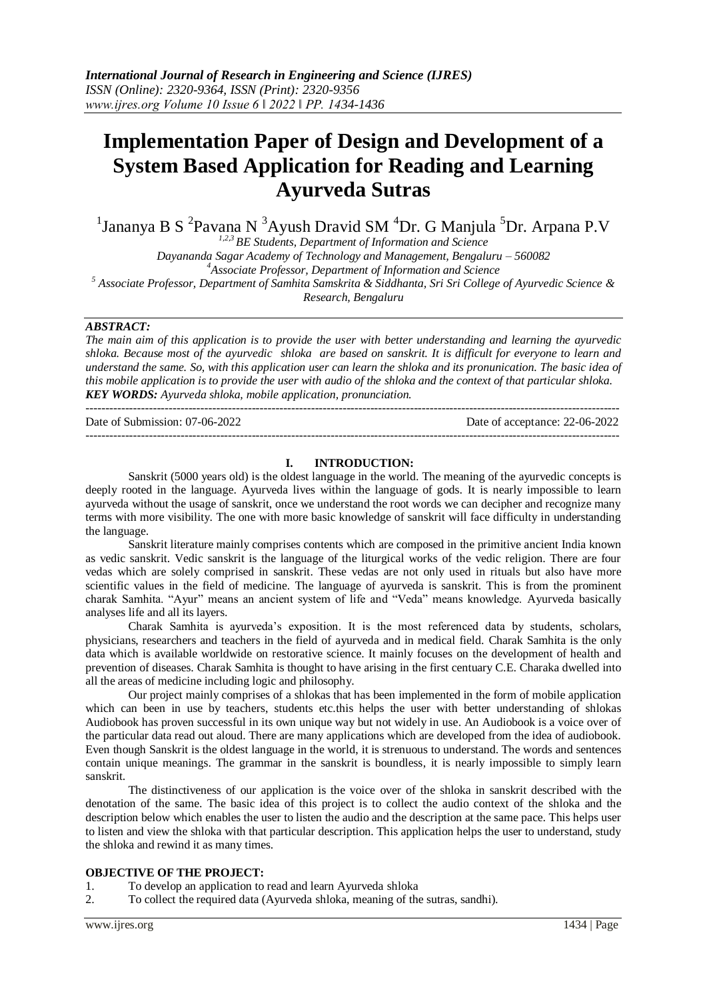# **Implementation Paper of Design and Development of a System Based Application for Reading and Learning Ayurveda Sutras**

<sup>1</sup>Jananya B S<sup>2</sup>Pavana N<sup>3</sup>Ayush Dravid SM<sup>4</sup>Dr. G Manjula <sup>5</sup>Dr. Arpana P.V

*1,2,3 BE Students, Department of Information and Science*

*Dayananda Sagar Academy of Technology and Management, Bengaluru – 560082 <sup>4</sup>Associate Professor, Department of Information and Science <sup>5</sup> Associate Professor, Department of Samhita Samskrita & Siddhanta, Sri Sri College of Ayurvedic Science & Research, Bengaluru*

#### *ABSTRACT:*

*The main aim of this application is to provide the user with better understanding and learning the ayurvedic shloka. Because most of the ayurvedic shloka are based on sanskrit. It is difficult for everyone to learn and understand the same. So, with this application user can learn the shloka and its pronunication. The basic idea of this mobile application is to provide the user with audio of the shloka and the context of that particular shloka. KEY WORDS: Ayurveda shloka, mobile application, pronunciation.*

| Date of Submission: 07-06-2022 | Date of acceptance: 22-06-2022 |
|--------------------------------|--------------------------------|
|                                |                                |

## **I. INTRODUCTION:**

Sanskrit (5000 years old) is the oldest language in the world. The meaning of the ayurvedic concepts is deeply rooted in the language. Ayurveda lives within the language of gods. It is nearly impossible to learn ayurveda without the usage of sanskrit, once we understand the root words we can decipher and recognize many terms with more visibility. The one with more basic knowledge of sanskrit will face difficulty in understanding the language.

Sanskrit literature mainly comprises contents which are composed in the primitive ancient India known as vedic sanskrit. Vedic sanskrit is the language of the liturgical works of the vedic religion. There are four vedas which are solely comprised in sanskrit. These vedas are not only used in rituals but also have more scientific values in the field of medicine. The language of ayurveda is sanskrit. This is from the prominent charak Samhita. "Ayur" means an ancient system of life and "Veda" means knowledge. Ayurveda basically analyses life and all its layers.

Charak Samhita is ayurveda's exposition. It is the most referenced data by students, scholars, physicians, researchers and teachers in the field of ayurveda and in medical field. Charak Samhita is the only data which is available worldwide on restorative science. It mainly focuses on the development of health and prevention of diseases. Charak Samhita is thought to have arising in the first centuary C.E. Charaka dwelled into all the areas of medicine including logic and philosophy.

Our project mainly comprises of a shlokas that has been implemented in the form of mobile application which can been in use by teachers, students etc.this helps the user with better understanding of shlokas Audiobook has proven successful in its own unique way but not widely in use. An Audiobook is a voice over of the particular data read out aloud. There are many applications which are developed from the idea of audiobook. Even though Sanskrit is the oldest language in the world, it is strenuous to understand. The words and sentences contain unique meanings. The grammar in the sanskrit is boundless, it is nearly impossible to simply learn sanskrit.

The distinctiveness of our application is the voice over of the shloka in sanskrit described with the denotation of the same. The basic idea of this project is to collect the audio context of the shloka and the description below which enables the user to listen the audio and the description at the same pace. This helps user to listen and view the shloka with that particular description. This application helps the user to understand, study the shloka and rewind it as many times.

## **OBJECTIVE OF THE PROJECT:**

- 1. To develop an application to read and learn Ayurveda shloka
- 2. To collect the required data (Ayurveda shloka, meaning of the sutras, sandhi).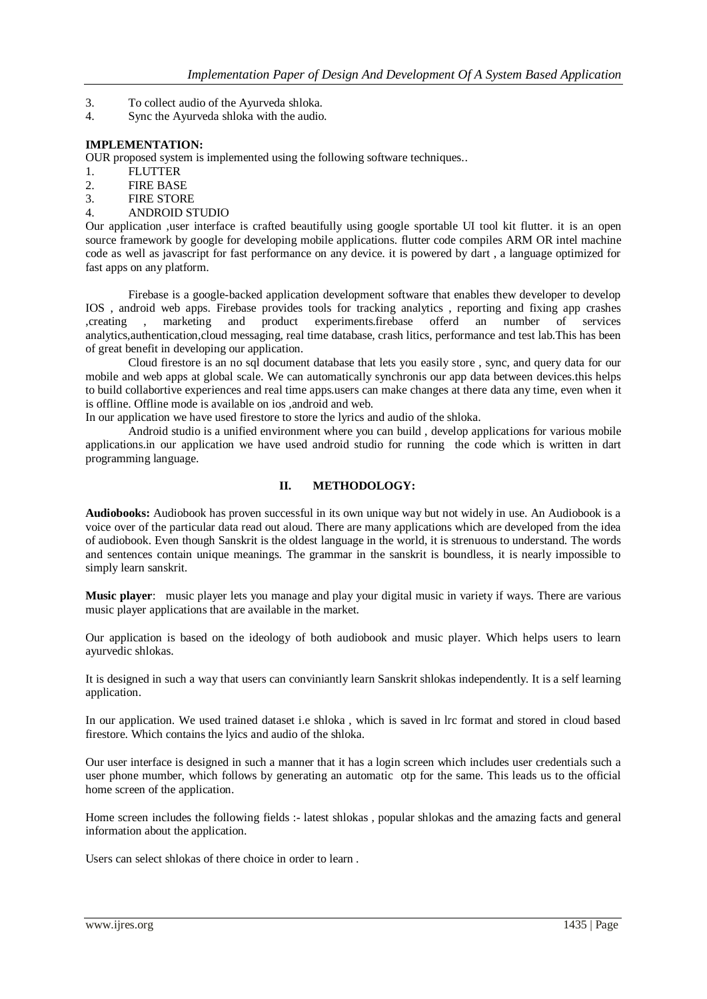- 3. To collect audio of the Ayurveda shloka.
- 4. Sync the Ayurveda shloka with the audio.

#### **IMPLEMENTATION:**

OUR proposed system is implemented using the following software techniques..

- 1. FLUTTER
- 2. FIRE BASE
- 3. FIRE STORE
- 4. ANDROID STUDIO

Our application ,user interface is crafted beautifully using google sportable UI tool kit flutter. it is an open source framework by google for developing mobile applications. flutter code compiles ARM OR intel machine code as well as javascript for fast performance on any device. it is powered by dart , a language optimized for fast apps on any platform.

Firebase is a google-backed application development software that enables thew developer to develop IOS , android web apps. Firebase provides tools for tracking analytics , reporting and fixing app crashes ,creating , marketing and product experiments.firebase offerd an number of services analytics,authentication,cloud messaging, real time database, crash litics, performance and test lab.This has been of great benefit in developing our application.

Cloud firestore is an no sql document database that lets you easily store , sync, and query data for our mobile and web apps at global scale. We can automatically synchronis our app data between devices.this helps to build collabortive experiences and real time apps.users can make changes at there data any time, even when it is offline. Offline mode is available on ios ,android and web.

In our application we have used firestore to store the lyrics and audio of the shloka.

Android studio is a unified environment where you can build , develop applications for various mobile applications.in our application we have used android studio for running the code which is written in dart programming language.

#### **II. METHODOLOGY:**

**Audiobooks:** Audiobook has proven successful in its own unique way but not widely in use. An Audiobook is a voice over of the particular data read out aloud. There are many applications which are developed from the idea of audiobook. Even though Sanskrit is the oldest language in the world, it is strenuous to understand. The words and sentences contain unique meanings. The grammar in the sanskrit is boundless, it is nearly impossible to simply learn sanskrit.

**Music player**: music player lets you manage and play your digital music in variety if ways. There are various music player applications that are available in the market.

Our application is based on the ideology of both audiobook and music player. Which helps users to learn ayurvedic shlokas.

It is designed in such a way that users can conviniantly learn Sanskrit shlokas independently. It is a self learning application.

In our application. We used trained dataset i.e shloka , which is saved in lrc format and stored in cloud based firestore. Which contains the lyics and audio of the shloka.

Our user interface is designed in such a manner that it has a login screen which includes user credentials such a user phone mumber, which follows by generating an automatic otp for the same. This leads us to the official home screen of the application.

Home screen includes the following fields :- latest shlokas , popular shlokas and the amazing facts and general information about the application.

Users can select shlokas of there choice in order to learn .